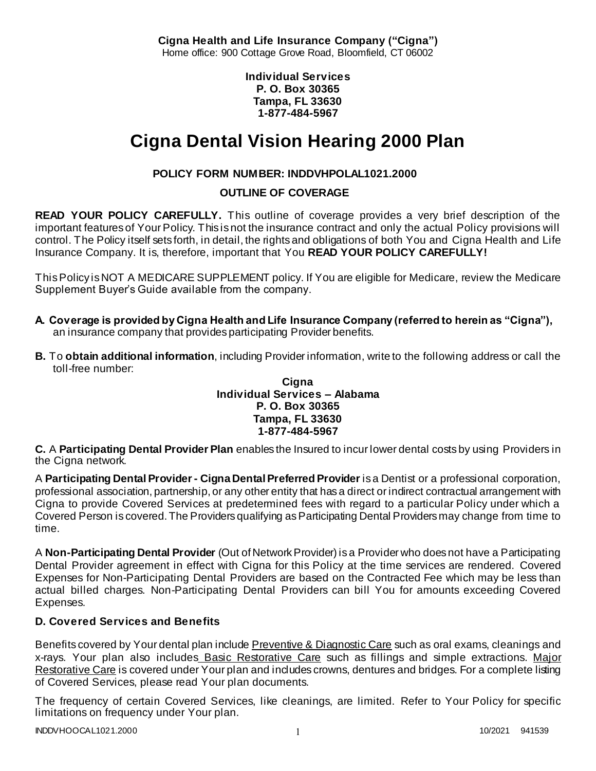**Cigna Health and Life Insurance Company ("Cigna")** Home office: 900 Cottage Grove Road, Bloomfield, CT 06002

> **Individual Services P. O. Box 30365 Tampa, FL 33630 1-877-484-5967**

# **Cigna Dental Vision Hearing 2000 Plan**

# **POLICY FORM NUMBER: INDDVHPOLAL1021.2000**

# **OUTLINE OF COVERAGE**

**READ YOUR POLICY CAREFULLY.** This outline of coverage provides a very brief description of the important features of Your Policy. This is not the insurance contract and only the actual Policy provisions will control. The Policy itself sets forth, in detail, the rights and obligations of both You and Cigna Health and Life Insurance Company. It is, therefore, important that You **READ YOUR POLICY CAREFULLY!** 

This Policy is NOT A MEDICARE SUPPLEMENT policy. If You are eligible for Medicare, review the Medicare Supplement Buyer's Guide available from the company.

- **A. Coverage is provided by Cigna Health and Life Insurance Company (referred to herein as "Cigna"),**  an insurance company that provides participating Provider benefits.
- **B.** To **obtain additional information**, including Provider information, write to the following address or call the toll-free number:

#### **Cigna Individual Services – Alabama P. O. Box 30365 Tampa, FL 33630 1-877-484-5967**

**C.** A **Participating Dental Provider Plan** enables the Insured to incur lower dental costs by using Providers in the Cigna network.

A **Participating Dental Provider - Cigna Dental Preferred Provider** is a Dentist or a professional corporation, professional association, partnership, or any other entity that has a direct or indirect contractual arrangement with Cigna to provide Covered Services at predetermined fees with regard to a particular Policy under which a Covered Person is covered. The Providers qualifying as Participating Dental Providers may change from time to time.

A **Non-Participating Dental Provider** (Out of Network Provider) is a Provider who does not have a Participating Dental Provider agreement in effect with Cigna for this Policy at the time services are rendered. Covered Expenses for Non-Participating Dental Providers are based on the Contracted Fee which may be less than actual billed charges. Non-Participating Dental Providers can bill You for amounts exceeding Covered Expenses.

# **D. Covered Services and Benefits**

Benefits covered by Your dental plan include Preventive & Diagnostic Care such as oral exams, cleanings and x-rays. Your plan also includes Basic Restorative Care such as fillings and simple extractions. Major Restorative Care is covered under Your plan and includes crowns, dentures and bridges. For a complete listing of Covered Services, please read Your plan documents.

The frequency of certain Covered Services, like cleanings, are limited. Refer to Your Policy for specific limitations on frequency under Your plan.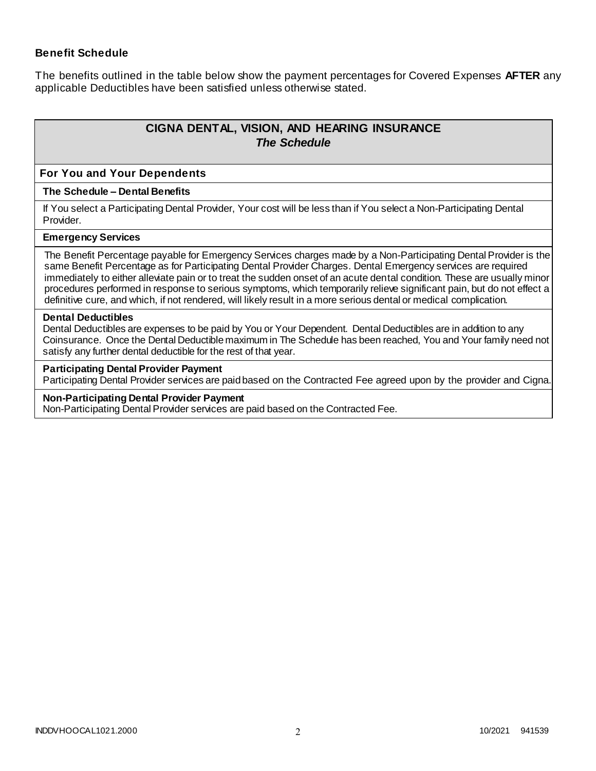### **Benefit Schedule**

The benefits outlined in the table below show the payment percentages for Covered Expenses **AFTER** any applicable Deductibles have been satisfied unless otherwise stated.

# **CIGNA DENTAL, VISION, AND HEARING INSURANCE** *The Schedule*

#### **For You and Your Dependents**

#### **The Schedule – Dental Benefits**

If You select a Participating Dental Provider, Your cost will be less than if You select a Non-Participating Dental Provider.

#### **Emergency Services**

The Benefit Percentage payable for Emergency Services charges made by a Non-Participating Dental Provider is the same Benefit Percentage as for Participating Dental Provider Charges. Dental Emergency services are required immediately to either alleviate pain or to treat the sudden onset of an acute dental condition. These are usually minor procedures performed in response to serious symptoms, which temporarily relieve significant pain, but do not effect a definitive cure, and which, if not rendered, will likely result in a more serious dental or medical complication.

#### **Dental Deductibles**

Dental Deductibles are expenses to be paid by You or Your Dependent. Dental Deductibles are in addition to any Coinsurance. Once the Dental Deductible maximum in The Schedule has been reached, You and Your family need not satisfy any further dental deductible for the rest of that year.

#### **Participating Dental Provider Payment**

Participating Dental Provider services are paid based on the Contracted Fee agreed upon by the provider and Cigna.

#### **Non-Participating Dental Provider Payment**

Non-Participating Dental Provider services are paid based on the Contracted Fee.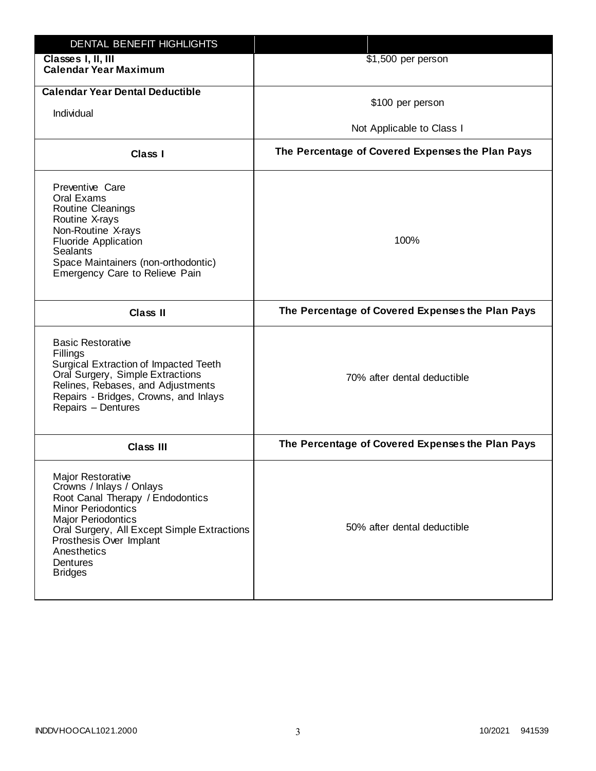| DENTAL BENEFIT HIGHLIGHTS                                                                                                                                                                                                                                          |                                                  |
|--------------------------------------------------------------------------------------------------------------------------------------------------------------------------------------------------------------------------------------------------------------------|--------------------------------------------------|
| Classes I, II, III<br><b>Calendar Year Maximum</b>                                                                                                                                                                                                                 | \$1,500 per person                               |
| <b>Calendar Year Dental Deductible</b><br>Individual                                                                                                                                                                                                               | \$100 per person<br>Not Applicable to Class I    |
| Class I                                                                                                                                                                                                                                                            | The Percentage of Covered Expenses the Plan Pays |
| Preventive Care<br>Oral Exams<br>Routine Cleanings<br>Routine X-rays<br>Non-Routine X-rays<br><b>Fluoride Application</b><br><b>Sealants</b><br>Space Maintainers (non-orthodontic)<br>Emergency Care to Relieve Pain                                              | 100%                                             |
| <b>Class II</b>                                                                                                                                                                                                                                                    | The Percentage of Covered Expenses the Plan Pays |
| <b>Basic Restorative</b><br>Fillings<br>Surgical Extraction of Impacted Teeth<br>Oral Surgery, Simple Extractions<br>Relines, Rebases, and Adjustments<br>Repairs - Bridges, Crowns, and Inlays<br>Repairs - Dentures                                              | 70% after dental deductible                      |
| <b>Class III</b>                                                                                                                                                                                                                                                   | The Percentage of Covered Expenses the Plan Pays |
| Major Restorative<br>Crowns / Inlays / Onlays<br>Root Canal Therapy / Endodontics<br><b>Minor Periodontics</b><br><b>Major Periodontics</b><br>Oral Surgery, All Except Simple Extractions<br>Prosthesis Over Implant<br>Anesthetics<br>Dentures<br><b>Bridges</b> | 50% after dental deductible                      |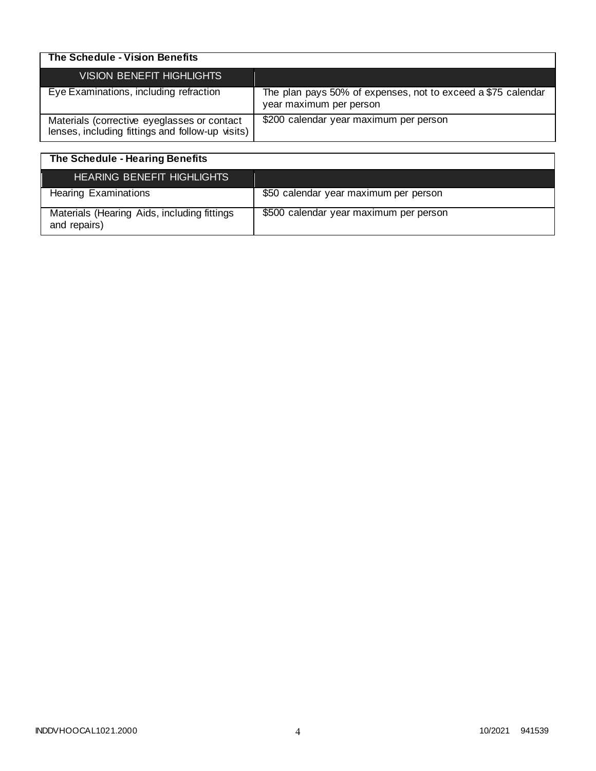| The Schedule - Vision Benefits                                                                  |                                                                                         |
|-------------------------------------------------------------------------------------------------|-----------------------------------------------------------------------------------------|
| VISION BENEFIT HIGHLIGHTS                                                                       |                                                                                         |
| Eye Examinations, including refraction                                                          | The plan pays 50% of expenses, not to exceed a \$75 calendar<br>year maximum per person |
| Materials (corrective eyeglasses or contact<br>lenses, including fittings and follow-up visits) | \$200 calendar year maximum per person                                                  |

| The Schedule - Hearing Benefits                             |                                        |
|-------------------------------------------------------------|----------------------------------------|
| <b>HEARING BENEFIT HIGHLIGHTS</b>                           |                                        |
| <b>Hearing Examinations</b>                                 | \$50 calendar year maximum per person  |
| Materials (Hearing Aids, including fittings<br>and repairs) | \$500 calendar year maximum per person |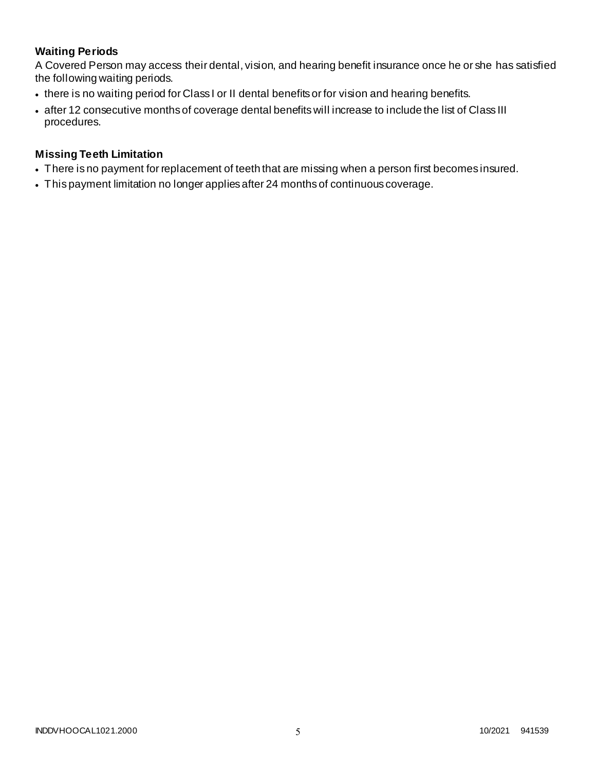# **Waiting Periods**

A Covered Person may access their dental, vision, and hearing benefit insurance once he or she has satisfied the following waiting periods.

- there is no waiting period for Class I or II dental benefits or for vision and hearing benefits.
- after 12 consecutive months of coverage dental benefits will increase to include the list of Class III procedures.

### **Missing Teeth Limitation**

- There is no payment for replacement of teeth that are missing when a person first becomes insured.
- This payment limitation no longer applies after 24 months of continuous coverage.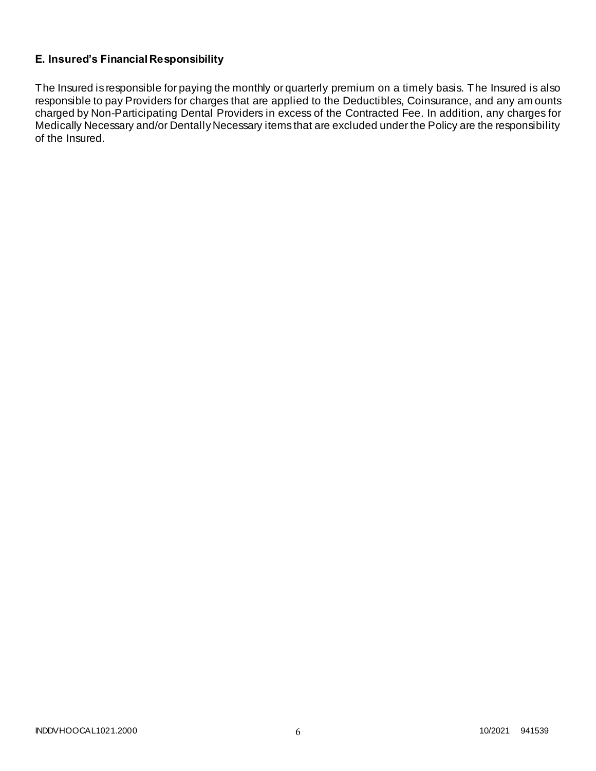# **E. Insured's Financial Responsibility**

The Insured is responsible for paying the monthly or quarterly premium on a timely basis. The Insured is also responsible to pay Providers for charges that are applied to the Deductibles, Coinsurance, and any am ounts charged by Non-Participating Dental Providers in excess of the Contracted Fee. In addition, any charges for Medically Necessary and/or Dentally Necessary items that are excluded under the Policy are the responsibility of the Insured.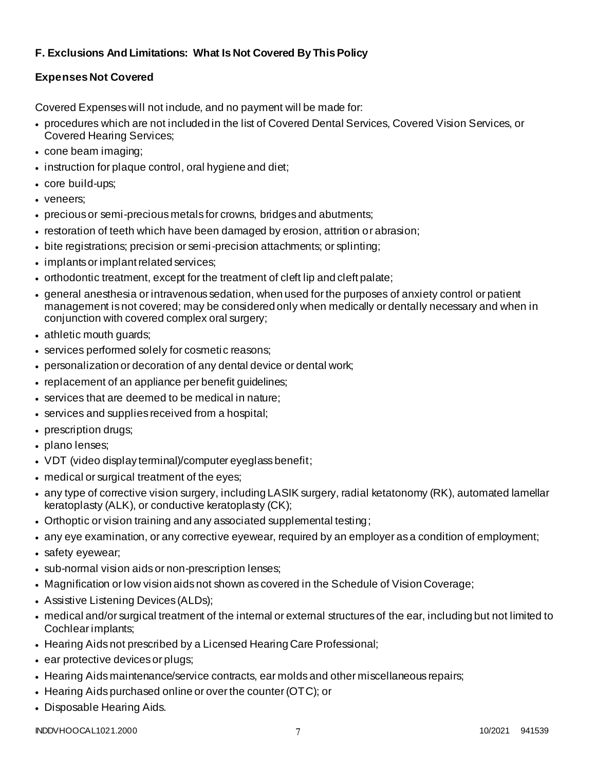# **F. Exclusions And Limitations: What Is Not Covered By This Policy**

# **Expenses Not Covered**

Covered Expenses will not include, and no payment will be made for:

- procedures which are not included in the list of Covered Dental Services, Covered Vision Services, or Covered Hearing Services;
- cone beam imaging;
- instruction for plaque control, oral hygiene and diet;
- core build-ups;
- veneers;
- precious or semi-precious metals for crowns, bridges and abutments;
- restoration of teeth which have been damaged by erosion, attrition or abrasion;
- bite registrations; precision or semi-precision attachments; or splinting;
- implants or implant related services;
- orthodontic treatment, except for the treatment of cleft lip and cleft palate;
- general anesthesia or intravenous sedation, when used for the purposes of anxiety control or patient management is not covered; may be considered only when medically or dentally necessary and when in conjunction with covered complex oral surgery;
- athletic mouth guards;
- services performed solely for cosmetic reasons;
- personalization or decoration of any dental device or dental work;
- replacement of an appliance per benefit guidelines;
- services that are deemed to be medical in nature;
- services and supplies received from a hospital;
- prescription drugs;
- plano lenses;
- VDT (video display terminal)/computer eyeglass benefit;
- medical or surgical treatment of the eyes;
- any type of corrective vision surgery, including LASIK surgery, radial ketatonomy (RK), automated lamellar keratoplasty (ALK), or conductive keratoplasty (CK);
- Orthoptic or vision training and any associated supplemental testing;
- any eye examination, or any corrective eyewear, required by an employer as a condition of employment;
- safety eyewear;
- sub-normal vision aids or non-prescription lenses;
- Magnification or low vision aids not shown as covered in the Schedule of Vision Coverage;
- Assistive Listening Devices (ALDs);
- medical and/or surgical treatment of the internal or external structures of the ear, including but not limited to Cochlear implants;
- Hearing Aids not prescribed by a Licensed Hearing Care Professional;
- ear protective devices or plugs;
- Hearing Aids maintenance/service contracts, ear molds and other miscellaneous repairs;
- Hearing Aids purchased online or over the counter (OTC); or
- Disposable Hearing Aids.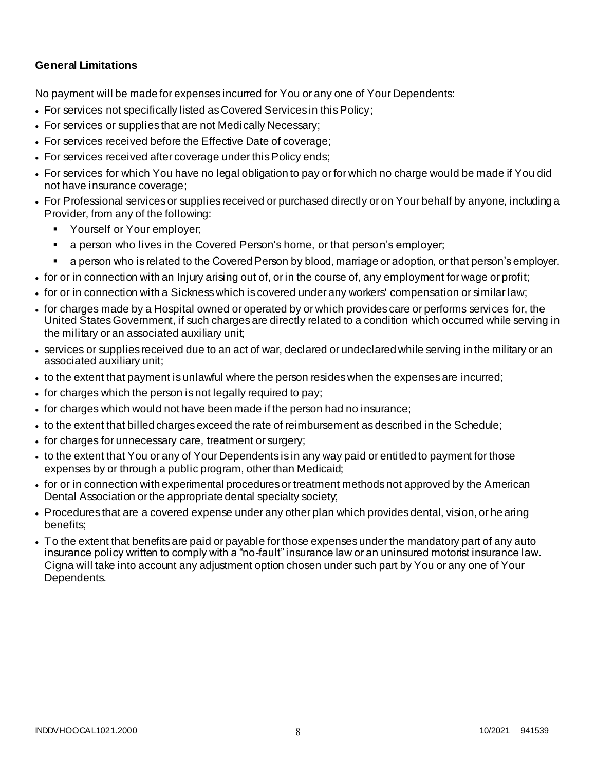### **General Limitations**

No payment will be made for expenses incurred for You or any one of Your Dependents:

- For services not specifically listed as Covered Services in this Policy;
- For services or supplies that are not Medically Necessary;
- For services received before the Effective Date of coverage;
- For services received after coverage under this Policy ends;
- For services for which You have no legal obligation to pay or for which no charge would be made if You did not have insurance coverage;
- For Professional services or supplies received or purchased directly or on Your behalf by anyone, including a Provider, from any of the following:
	- Yourself or Your employer;
	- a person who lives in the Covered Person's home, or that person's employer;
	- a person who is related to the Covered Person by blood, marriage or adoption, or that person's employer.
- for or in connection with an Injury arising out of, or in the course of, any employment for wage or profit;
- for or in connection with a Sickness which is covered under any workers' compensation or similar law;
- for charges made by a Hospital owned or operated by or which provides care or performs services for, the United States Government, if such charges are directly related to a condition which occurred while serving in the military or an associated auxiliary unit;
- services or supplies received due to an act of war, declared or undeclared while serving in the military or an associated auxiliary unit;
- to the extent that payment is unlawful where the person resides when the expenses are incurred;
- for charges which the person is not legally required to pay;
- for charges which would not have been made if the person had no insurance;
- to the extent that billed charges exceed the rate of reimbursement as described in the Schedule;
- for charges for unnecessary care, treatment or surgery;
- to the extent that You or any of Your Dependents is in any way paid or entitled to payment for those expenses by or through a public program, other than Medicaid;
- for or in connection with experimental procedures or treatment methods not approved by the American Dental Association or the appropriate dental specialty society;
- Procedures that are a covered expense under any other plan which provides dental, vision, or he aring benefits;
- To the extent that benefits are paid or payable for those expenses under the mandatory part of any auto insurance policy written to comply with a "no-fault" insurance law or an uninsured motorist insurance law. Cigna will take into account any adjustment option chosen under such part by You or any one of Your Dependents.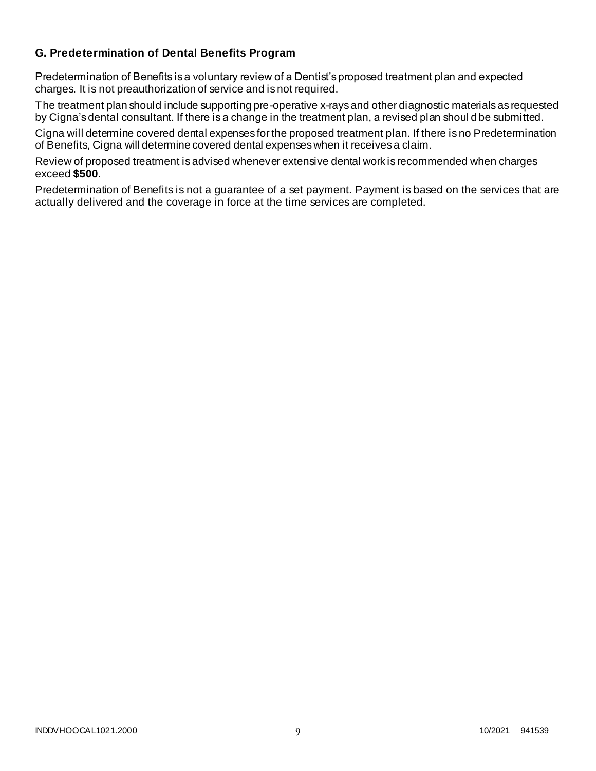### **G. Predetermination of Dental Benefits Program**

Predetermination of Benefits is a voluntary review of a Dentist's proposed treatment plan and expected charges. It is not preauthorization of service and is not required.

The treatment plan should include supporting pre-operative x-rays and other diagnostic materials as requested by Cigna's dental consultant. If there is a change in the treatment plan, a revised plan shoul d be submitted.

Cigna will determine covered dental expenses for the proposed treatment plan. If there is no Predetermination of Benefits, Cigna will determine covered dental expenses when it receives a claim.

Review of proposed treatment is advised whenever extensive dental work is recommended when charges exceed **\$500**.

Predetermination of Benefits is not a guarantee of a set payment. Payment is based on the services that are actually delivered and the coverage in force at the time services are completed.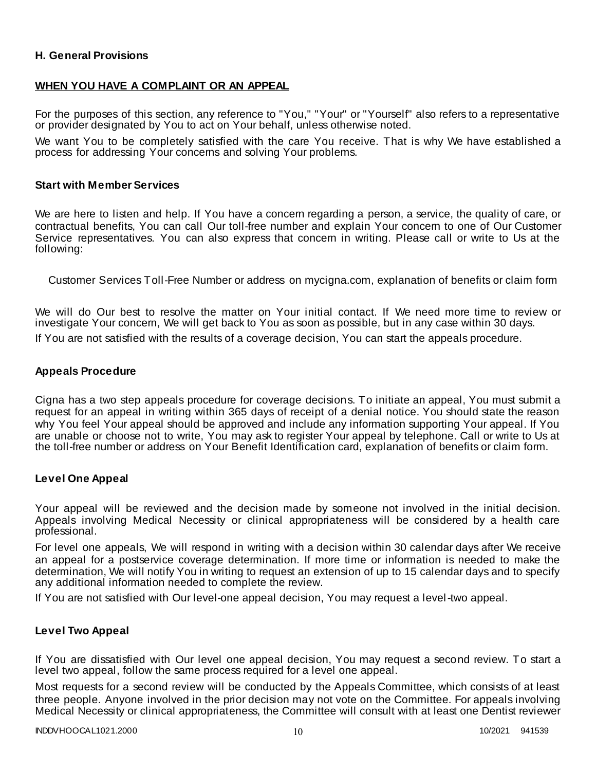### **H. General Provisions**

### **WHEN YOU HAVE A COMPLAINT OR AN APPEAL**

For the purposes of this section, any reference to "You," "Your" or "Yourself" also refers to a representative or provider designated by You to act on Your behalf, unless otherwise noted.

We want You to be completely satisfied with the care You receive. That is why We have established a process for addressing Your concerns and solving Your problems.

#### **Start with Member Services**

We are here to listen and help. If You have a concern regarding a person, a service, the quality of care, or contractual benefits, You can call Our toll-free number and explain Your concern to one of Our Customer Service representatives. You can also express that concern in writing. Please call or write to Us at the following:

Customer Services Toll-Free Number or address on mycigna.com, explanation of benefits or claim form

We will do Our best to resolve the matter on Your initial contact. If We need more time to review or investigate Your concern, We will get back to You as soon as possible, but in any case within 30 days.

If You are not satisfied with the results of a coverage decision, You can start the appeals procedure.

### **Appeals Procedure**

Cigna has a two step appeals procedure for coverage decisions. To initiate an appeal, You must submit a request for an appeal in writing within 365 days of receipt of a denial notice. You should state the reason why You feel Your appeal should be approved and include any information supporting Your appeal. If You are unable or choose not to write, You may ask to register Your appeal by telephone. Call or write to Us at the toll-free number or address on Your Benefit Identification card, explanation of benefits or claim form.

### **Level One Appeal**

Your appeal will be reviewed and the decision made by someone not involved in the initial decision. Appeals involving Medical Necessity or clinical appropriateness will be considered by a health care professional.

For level one appeals, We will respond in writing with a decision within 30 calendar days after We receive an appeal for a postservice coverage determination. If more time or information is needed to make the determination, We will notify You in writing to request an extension of up to 15 calendar days and to specify any additional information needed to complete the review.

If You are not satisfied with Our level-one appeal decision, You may request a level-two appeal.

### **Level Two Appeal**

If You are dissatisfied with Our level one appeal decision, You may request a second review. To start a level two appeal, follow the same process required for a level one appeal.

Most requests for a second review will be conducted by the Appeals Committee, which consists of at least three people. Anyone involved in the prior decision may not vote on the Committee. For appeals involving Medical Necessity or clinical appropriateness, the Committee will consult with at least one Dentist reviewer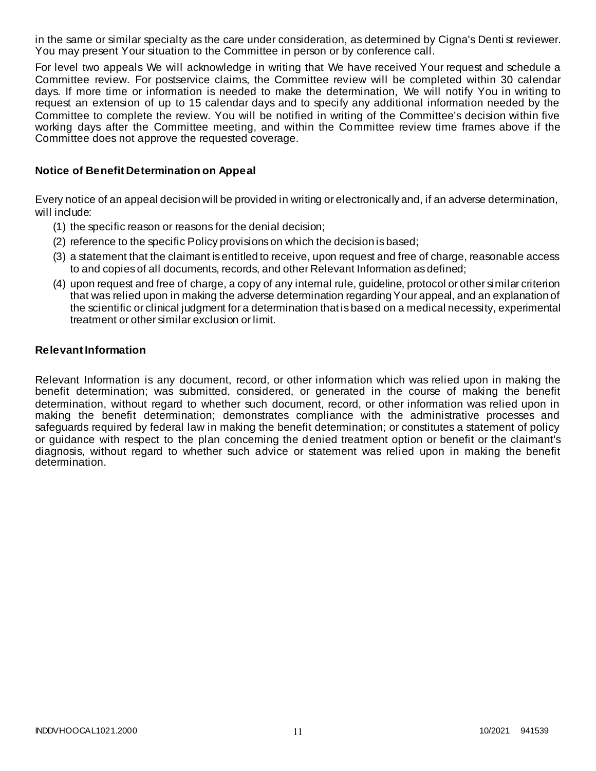in the same or similar specialty as the care under consideration, as determined by Cigna's Denti st reviewer. You may present Your situation to the Committee in person or by conference call.

For level two appeals We will acknowledge in writing that We have received Your request and schedule a Committee review. For postservice claims, the Committee review will be completed within 30 calendar days. If more time or information is needed to make the determination, We will notify You in writing to request an extension of up to 15 calendar days and to specify any additional information needed by the Committee to complete the review. You will be notified in writing of the Committee's decision within five working days after the Committee meeting, and within the Committee review time frames above if the Committee does not approve the requested coverage.

### **Notice of Benefit Determination on Appeal**

Every notice of an appeal decision will be provided in writing or electronically and, if an adverse determination, will include:

- (1) the specific reason or reasons for the denial decision;
- (2) reference to the specific Policy provisions on which the decision is based;
- (3) a statement that the claimant is entitled to receive, upon request and free of charge, reasonable access to and copies of all documents, records, and other Relevant Information as defined;
- (4) upon request and free of charge, a copy of any internal rule, guideline, protocol or other similar criterion that was relied upon in making the adverse determination regarding Your appeal, and an explanation of the scientific or clinical judgment for a determination that is based on a medical necessity, experimental treatment or other similar exclusion or limit.

### **Relevant Information**

Relevant Information is any document, record, or other information which was relied upon in making the benefit determination; was submitted, considered, or generated in the course of making the benefit determination, without regard to whether such document, record, or other information was relied upon in making the benefit determination; demonstrates compliance with the administrative processes and safeguards required by federal law in making the benefit determination; or constitutes a statement of policy or guidance with respect to the plan concerning the denied treatment option or benefit or the claimant's diagnosis, without regard to whether such advice or statement was relied upon in making the benefit determination.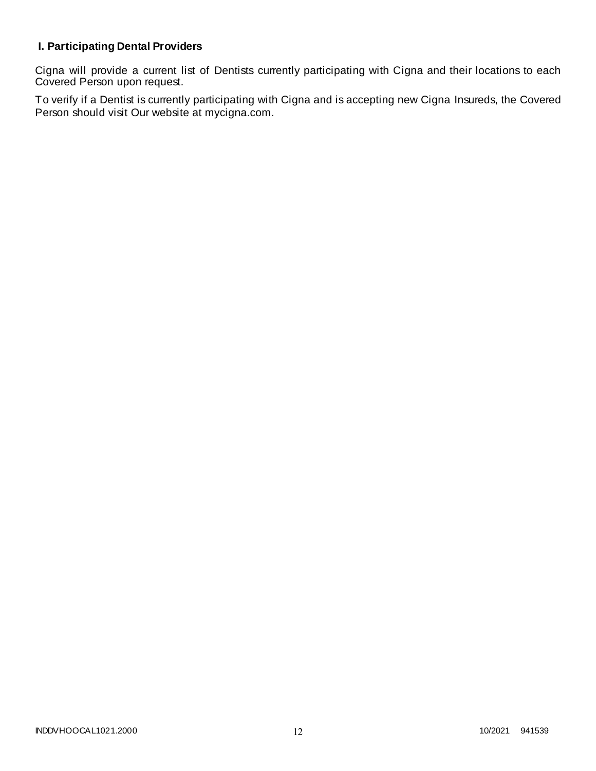# **I. Participating Dental Providers**

Cigna will provide a current list of Dentists currently participating with Cigna and their locations to each Covered Person upon request.

To verify if a Dentist is currently participating with Cigna and is accepting new Cigna Insureds, the Covered Person should visit Our website at mycigna.com.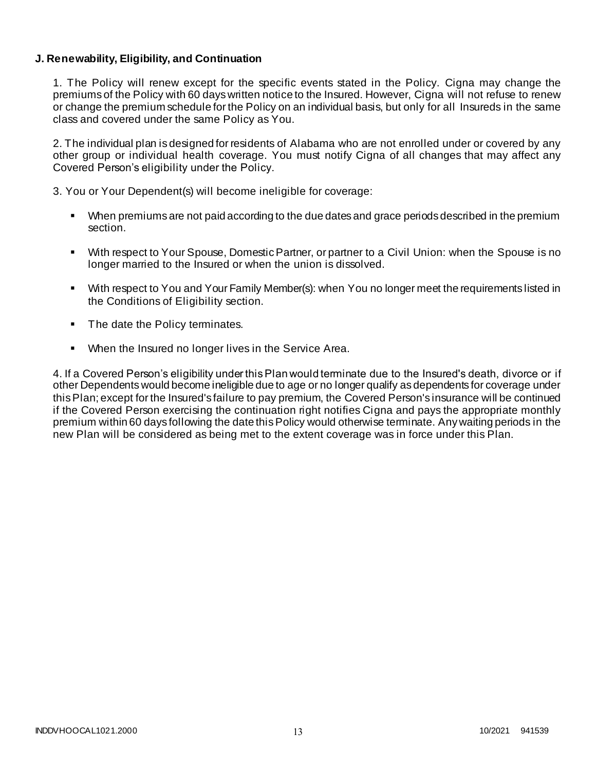### **J. Renewability, Eligibility, and Continuation**

1. The Policy will renew except for the specific events stated in the Policy. Cigna may change the premiums of the Policy with 60 days written notice to the Insured. However, Cigna will not refuse to renew or change the premium schedule for the Policy on an individual basis, but only for all Insureds in the same class and covered under the same Policy as You.

2. The individual plan is designed for residents of Alabama who are not enrolled under or covered by any other group or individual health coverage. You must notify Cigna of all changes that may affect any Covered Person's eligibility under the Policy.

3. You or Your Dependent(s) will become ineligible for coverage:

- When premiums are not paid according to the due dates and grace periods described in the premium section.
- With respect to Your Spouse, Domestic Partner, or partner to a Civil Union: when the Spouse is no longer married to the Insured or when the union is dissolved.
- With respect to You and Your Family Member(s): when You no longer meet the requirements listed in the Conditions of Eligibility section.
- The date the Policy terminates.
- When the Insured no longer lives in the Service Area.

4. If a Covered Person's eligibility under this Plan would terminate due to the Insured's death, divorce or if other Dependents would become ineligible due to age or no longer qualify as dependents for coverage under this Plan; except for the Insured's failure to pay premium, the Covered Person's insurance will be continued if the Covered Person exercising the continuation right notifies Cigna and pays the appropriate monthly premium within 60 days following the date this Policy would otherwise terminate. Any waiting periods in the new Plan will be considered as being met to the extent coverage was in force under this Plan.